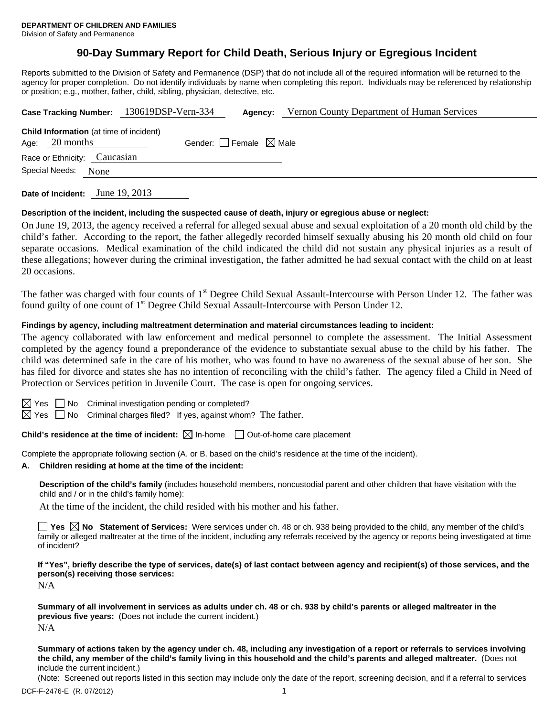# **90-Day Summary Report for Child Death, Serious Injury or Egregious Incident**

Reports submitted to the Division of Safety and Permanence (DSP) that do not include all of the required information will be returned to the agency for proper completion. Do not identify individuals by name when completing this report. Individuals may be referenced by relationship or position; e.g., mother, father, child, sibling, physician, detective, etc.

| Case Tracking Number: 130619DSP-Vern-334                           |  |                                 | Agency: | Vernon County Department of Human Services |  |
|--------------------------------------------------------------------|--|---------------------------------|---------|--------------------------------------------|--|
| <b>Child Information</b> (at time of incident)<br>Age: $20$ months |  | Gender: Female $\boxtimes$ Male |         |                                            |  |
| Race or Ethnicity: Caucasian                                       |  |                                 |         |                                            |  |
| Special Needs:<br>None                                             |  |                                 |         |                                            |  |
|                                                                    |  |                                 |         |                                            |  |

**Date of Incident:** June 19, 2013

#### **Description of the incident, including the suspected cause of death, injury or egregious abuse or neglect:**

On June 19, 2013, the agency received a referral for alleged sexual abuse and sexual exploitation of a 20 month old child by the child's father. According to the report, the father allegedly recorded himself sexually abusing his 20 month old child on four separate occasions. Medical examination of the child indicated the child did not sustain any physical injuries as a result of these allegations; however during the criminal investigation, the father admitted he had sexual contact with the child on at least 20 occasions.

The father was charged with four counts of 1<sup>st</sup> Degree Child Sexual Assault-Intercourse with Person Under 12. The father was found guilty of one count of 1<sup>st</sup> Degree Child Sexual Assault-Intercourse with Person Under 12.

### **Findings by agency, including maltreatment determination and material circumstances leading to incident:**

The agency collaborated with law enforcement and medical personnel to complete the assessment. The Initial Assessment completed by the agency found a preponderance of the evidence to substantiate sexual abuse to the child by his father. The child was determined safe in the care of his mother, who was found to have no awareness of the sexual abuse of her son. She has filed for divorce and states she has no intention of reconciling with the child's father. The agency filed a Child in Need of Protection or Services petition in Juvenile Court. The case is open for ongoing services.

 $\boxtimes$  Yes  $\Box$  No Criminal investigation pending or completed?

 $\boxtimes$  Yes  $\Box$  No Criminal charges filed? If yes, against whom? The father.

**Child's residence at the time of incident:**  $\boxtimes$  In-home  $\Box$  Out-of-home care placement

Complete the appropriate following section (A. or B. based on the child's residence at the time of the incident).

#### **A. Children residing at home at the time of the incident:**

**Description of the child's family** (includes household members, noncustodial parent and other children that have visitation with the child and / or in the child's family home):

At the time of the incident, the child resided with his mother and his father.

**Yes No Statement of Services:** Were services under ch. 48 or ch. 938 being provided to the child, any member of the child's family or alleged maltreater at the time of the incident, including any referrals received by the agency or reports being investigated at time of incident?

**If "Yes", briefly describe the type of services, date(s) of last contact between agency and recipient(s) of those services, and the person(s) receiving those services:** 

N/A

**Summary of all involvement in services as adults under ch. 48 or ch. 938 by child's parents or alleged maltreater in the previous five years:** (Does not include the current incident.) N/A

**Summary of actions taken by the agency under ch. 48, including any investigation of a report or referrals to services involving the child, any member of the child's family living in this household and the child's parents and alleged maltreater.** (Does not include the current incident.)

(Note: Screened out reports listed in this section may include only the date of the report, screening decision, and if a referral to services